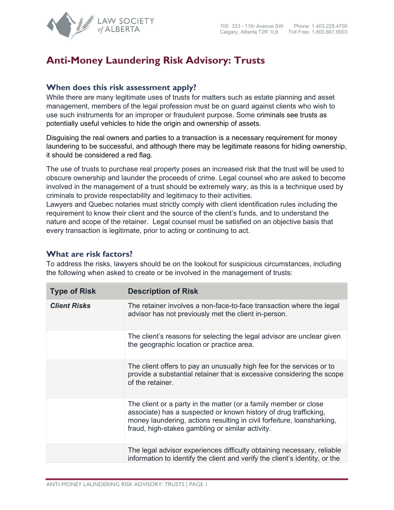

## **Anti-Money Laundering Risk Advisory: Trusts**

## **When does this risk assessment apply?**

While there are many legitimate uses of trusts for matters such as estate planning and asset management, members of the legal profession must be on guard against clients who wish to use such instruments for an improper or fraudulent purpose. Some criminals see trusts as potentially useful vehicles to hide the origin and ownership of assets.

Disguising the real owners and parties to a transaction is a necessary requirement for money laundering to be successful, and although there may be legitimate reasons for hiding ownership, it should be considered a red flag.

The use of trusts to purchase real property poses an increased risk that the trust will be used to obscure ownership and launder the proceeds of crime. Legal counsel who are asked to become involved in the management of a trust should be extremely wary, as this is a technique used by criminals to provide respectability and legitimacy to their activities.

Lawyers and Quebec notaries must strictly comply with client identification rules including the requirement to know their client and the source of the client's funds, and to understand the nature and scope of the retainer. Legal counsel must be satisfied on an objective basis that every transaction is legitimate, prior to acting or continuing to act.

## **What are risk factors?**

To address the risks, lawyers should be on the lookout for suspicious circumstances, including the following when asked to create or be involved in the management of trusts:

| <b>Type of Risk</b> | <b>Description of Risk</b>                                                                                                                                                                                                                                         |
|---------------------|--------------------------------------------------------------------------------------------------------------------------------------------------------------------------------------------------------------------------------------------------------------------|
| <b>Client Risks</b> | The retainer involves a non-face-to-face transaction where the legal<br>advisor has not previously met the client in-person.                                                                                                                                       |
|                     | The client's reasons for selecting the legal advisor are unclear given<br>the geographic location or practice area.                                                                                                                                                |
|                     | The client offers to pay an unusually high fee for the services or to<br>provide a substantial retainer that is excessive considering the scope<br>of the retainer.                                                                                                |
|                     | The client or a party in the matter (or a family member or close<br>associate) has a suspected or known history of drug trafficking,<br>money laundering, actions resulting in civil forfeiture, loansharking,<br>fraud, high-stakes gambling or similar activity. |
|                     | The legal advisor experiences difficulty obtaining necessary, reliable<br>information to identify the client and verify the client's identity, or the                                                                                                              |